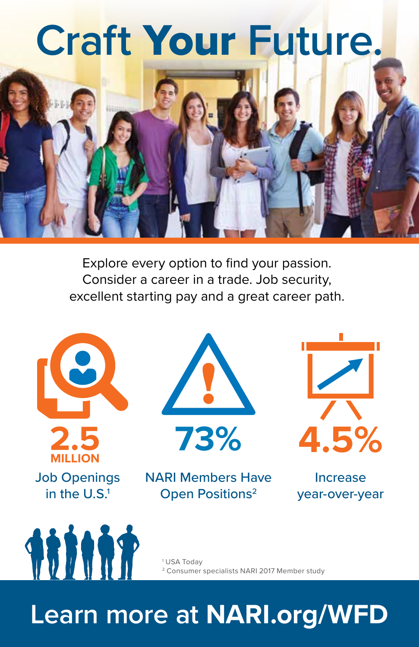## **Craft** Your **Future.**



Explore every option to find your passion. Consider a career in a trade. Job security, excellent starting pay and a great career path.





in the U.S.<sup>1</sup>

*ARTART* 



NARI Members Have Open Positions<sup>2</sup>



Increase year-over-year

1 USA Today 2 Consumer specialists NARI 2017 Member study

## **Learn more at NARI.org/WFD**